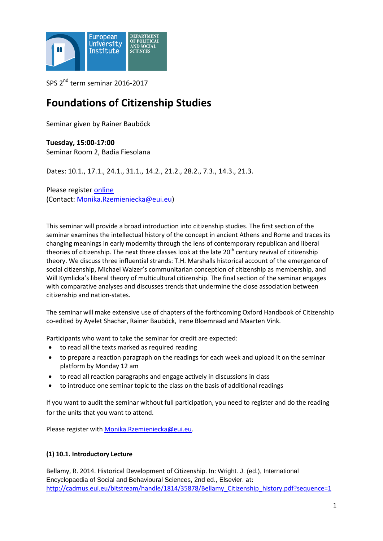

SPS 2<sup>nd</sup> term seminar 2016-2017

# **Foundations of Citizenship Studies**

Seminar given by Rainer Bauböck

**Tuesday, 15:00-17:00** Seminar Room 2, Badia Fiesolana

Dates: 10.1., 17.1., 24.1., 31.1., 14.2., 21.2., 28.2., 7.3., 14.3., 21.3.

Please register [online](http://www.eui.eu/DepartmentsAndCentres/PoliticalAndSocialSciences/ResearchAndTeaching/Seminars/Registration.aspx) (Contact: [Monika.Rzemieniecka@eui.eu\)](mailto:Monika.Rzemieniecka@eui.eu)

This seminar will provide a broad introduction into citizenship studies. The first section of the seminar examines the intellectual history of the concept in ancient Athens and Rome and traces its changing meanings in early modernity through the lens of contemporary republican and liberal theories of citizenship. The next three classes look at the late  $20<sup>th</sup>$  century revival of citizenship theory. We discuss three influential strands: T.H. Marshalls historical account of the emergence of social citizenship, Michael Walzer's communitarian conception of citizenship as membership, and Will Kymlicka's liberal theory of multicultural citizenship. The final section of the seminar engages with comparative analyses and discusses trends that undermine the close association between citizenship and nation-states.

The seminar will make extensive use of chapters of the forthcoming Oxford Handbook of Citizenship co-edited by Ayelet Shachar, Rainer Bauböck, Irene Bloemraad and Maarten Vink.

Participants who want to take the seminar for credit are expected:

- to read all the texts marked as required reading
- to prepare a reaction paragraph on the readings for each week and upload it on the seminar platform by Monday 12 am
- to read all reaction paragraphs and engage actively in discussions in class
- to introduce one seminar topic to the class on the basis of additional readings

If you want to audit the seminar without full participation, you need to register and do the reading for the units that you want to attend.

Please register with [Monika.Rzemieniecka@eui.eu.](mailto:Monika.Rzemieniecka@eui.eu)

## **(1) 10.1. Introductory Lecture**

Bellamy, R. 2014. Historical Development of Citizenship. In: Wright. J. (ed.), International Encyclopaedia of Social and Behavioural Sciences, 2nd ed., Elsevier. at: [http://cadmus.eui.eu/bitstream/handle/1814/35878/Bellamy\\_Citizenship\\_history.pdf?sequence=1](http://cadmus.eui.eu/bitstream/handle/1814/35878/Bellamy_Citizenship_history.pdf?sequence=1)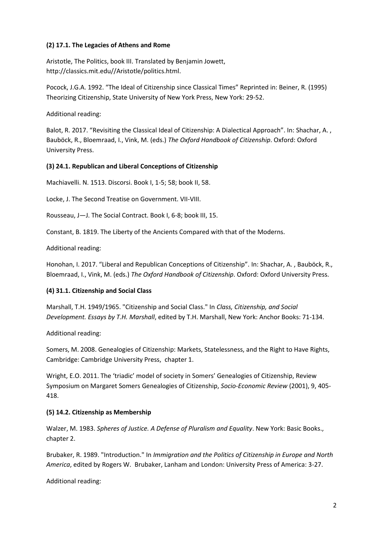## **(2) 17.1. The Legacies of Athens and Rome**

Aristotle, The Politics, book III. Translated by Benjamin Jowett, http://classics.mit.edu//Aristotle/politics.html.

Pocock, J.G.A. 1992. "The Ideal of Citizenship since Classical Times" Reprinted in: Beiner, R. (1995) Theorizing Citizenship, State University of New York Press, New York: 29-52.

Additional reading:

Balot, R. 2017. "Revisiting the Classical Ideal of Citizenship: A Dialectical Approach". In: Shachar, A., Bauböck, R., Bloemraad, I., Vink, M. (eds.) *The Oxford Handbook of Citizenship*. Oxford: Oxford University Press.

## **(3) 24.1. Republican and Liberal Conceptions of Citizenship**

Machiavelli. N. 1513. Discorsi. Book I, 1-5; 58; book II, 58.

Locke, J. The Second Treatise on Government. VII-VIII.

Rousseau, J—J. The Social Contract. Book I, 6-8; book III, 15.

Constant, B. 1819. The Liberty of the Ancients Compared with that of the Moderns.

Additional reading:

Honohan, I. 2017. "Liberal and Republican Conceptions of Citizenship". In: Shachar, A. , Bauböck, R., Bloemraad, I., Vink, M. (eds.) *The Oxford Handbook of Citizenship*. Oxford: Oxford University Press.

## **(4) 31.1. Citizenship and Social Class**

Marshall, T.H. 1949/1965. "Citizenship and Social Class." In *Class, Citizenship, and Social Development. Essays by T.H. Marshall*, edited by T.H. Marshall, New York: Anchor Books: 71-134.

Additional reading:

Somers, M. 2008. Genealogies of Citizenship: Markets, Statelessness, and the Right to Have Rights, Cambridge: Cambridge University Press, chapter 1.

Wright, E.O. 2011. The 'triadic' model of society in Somers' Genealogies of Citizenship, Review Symposium on Margaret Somers Genealogies of Citizenship, *Socio-Economic Review* (2001), 9, 405- 418.

## **(5) 14.2. Citizenship as Membership**

Walzer, M. 1983. *Spheres of Justice. A Defense of Pluralism and Equality*. New York: Basic Books., chapter 2.

Brubaker, R. 1989. "Introduction." In *Immigration and the Politics of Citizenship in Europe and North America*, edited by Rogers W. Brubaker, Lanham and London: University Press of America: 3-27.

Additional reading: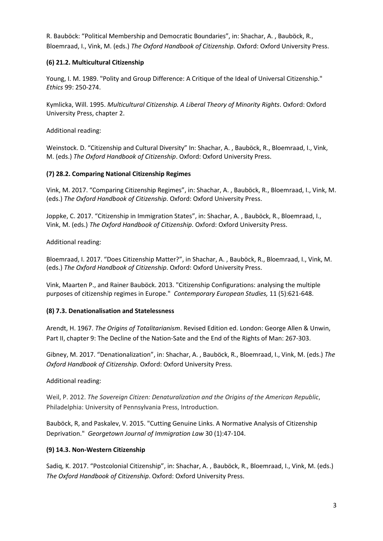R. Bauböck: "Political Membership and Democratic Boundaries", in: Shachar, A. , Bauböck, R., Bloemraad, I., Vink, M. (eds.) *The Oxford Handbook of Citizenship*. Oxford: Oxford University Press.

## **(6) 21.2. Multicultural Citizenship**

Young, I. M. 1989. "Polity and Group Difference: A Critique of the Ideal of Universal Citizenship." *Ethics* 99: 250-274.

Kymlicka, Will. 1995. *Multicultural Citizenship. A Liberal Theory of Minority Rights*. Oxford: Oxford University Press, chapter 2.

Additional reading:

Weinstock. D. "Citizenship and Cultural Diversity" In: Shachar, A. , Bauböck, R., Bloemraad, I., Vink, M. (eds.) *The Oxford Handbook of Citizenship*. Oxford: Oxford University Press.

## **(7) 28.2. Comparing National Citizenship Regimes**

Vink, M. 2017. "Comparing Citizenship Regimes", in: Shachar, A. , Bauböck, R., Bloemraad, I., Vink, M. (eds.) *The Oxford Handbook of Citizenship*. Oxford: Oxford University Press.

Joppke, C. 2017. "Citizenship in Immigration States", in: Shachar, A. , Bauböck, R., Bloemraad, I., Vink, M. (eds.) *The Oxford Handbook of Citizenship*. Oxford: Oxford University Press.

Additional reading:

Bloemraad, I. 2017. "Does Citizenship Matter?", in Shachar, A. , Bauböck, R., Bloemraad, I., Vink, M. (eds.) *The Oxford Handbook of Citizenship*. Oxford: Oxford University Press.

Vink, Maarten P., and Rainer Bauböck. 2013. "Citizenship Configurations: analysing the multiple purposes of citizenship regimes in Europe." *Contemporary European Studies,* 11 (5):621-648.

## **(8) 7.3. Denationalisation and Statelessness**

Arendt, H. 1967. *The Origins of Totalitarianism*. Revised Edition ed. London: George Allen & Unwin, Part II, chapter 9: The Decline of the Nation-Sate and the End of the Rights of Man: 267-303.

Gibney, M. 2017. "Denationalization", in: Shachar, A. , Bauböck, R., Bloemraad, I., Vink, M. (eds.) *The Oxford Handbook of Citizenship*. Oxford: Oxford University Press.

Additional reading:

Weil, P. 2012. *The Sovereign Citizen: Denaturalization and the Origins of the American Republic*, Philadelphia: University of Pennsylvania Press, Introduction.

Bauböck, R, and Paskalev, V. 2015. "Cutting Genuine Links. A Normative Analysis of Citizenship Deprivation." *Georgetown Journal of Immigration Law* 30 (1):47-104.

## **(9) 14.3. Non-Western Citizenship**

Sadiq, K. 2017. "Postcolonial Citizenship", in: Shachar, A. , Bauböck, R., Bloemraad, I., Vink, M. (eds.) *The Oxford Handbook of Citizenship*. Oxford: Oxford University Press.